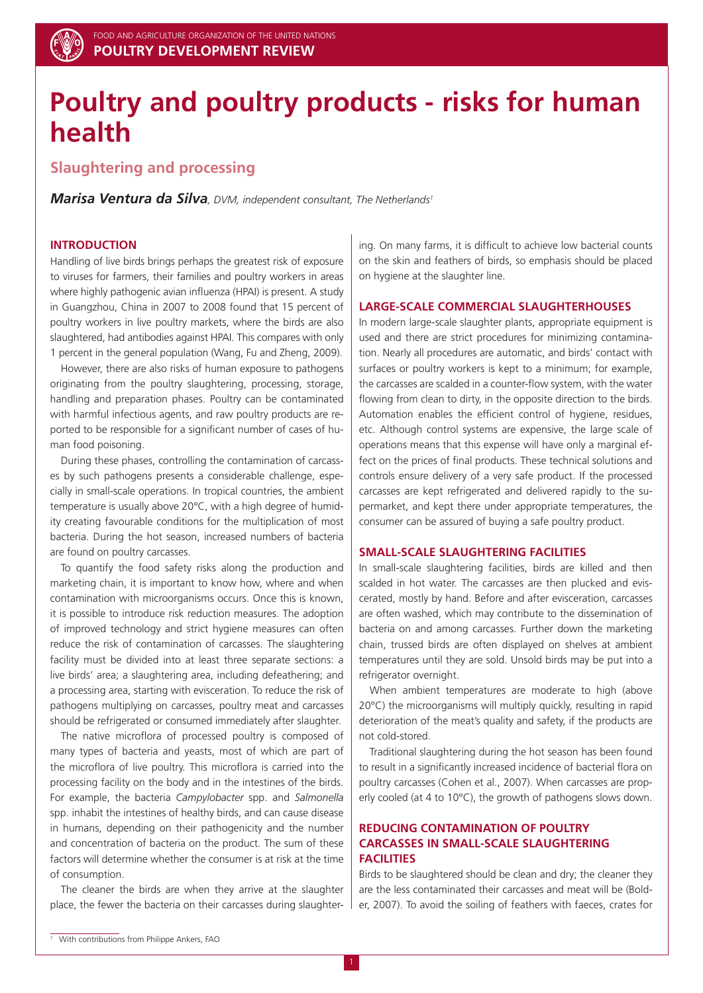

# **Poultry and poultry products - risks for human health**

## **Slaughtering and processing**

*Marisa Ventura da Silva, DVM, independent consultant, The Netherlands1*

## **INTRODUCTION**

Handling of live birds brings perhaps the greatest risk of exposure to viruses for farmers, their families and poultry workers in areas where highly pathogenic avian influenza (HPAI) is present. A study in Guangzhou, China in 2007 to 2008 found that 15 percent of poultry workers in live poultry markets, where the birds are also slaughtered, had antibodies against HPAI. This compares with only 1 percent in the general population (Wang, Fu and Zheng, 2009).

However, there are also risks of human exposure to pathogens originating from the poultry slaughtering, processing, storage, handling and preparation phases. Poultry can be contaminated with harmful infectious agents, and raw poultry products are reported to be responsible for a significant number of cases of human food poisoning.

During these phases, controlling the contamination of carcasses by such pathogens presents a considerable challenge, especially in small-scale operations. In tropical countries, the ambient temperature is usually above 20°C, with a high degree of humidity creating favourable conditions for the multiplication of most bacteria. During the hot season, increased numbers of bacteria are found on poultry carcasses.

To quantify the food safety risks along the production and marketing chain, it is important to know how, where and when contamination with microorganisms occurs. Once this is known, it is possible to introduce risk reduction measures. The adoption of improved technology and strict hygiene measures can often reduce the risk of contamination of carcasses. The slaughtering facility must be divided into at least three separate sections: a live birds' area; a slaughtering area, including defeathering; and a processing area, starting with evisceration. To reduce the risk of pathogens multiplying on carcasses, poultry meat and carcasses should be refrigerated or consumed immediately after slaughter.

The native microflora of processed poultry is composed of many types of bacteria and yeasts, most of which are part of the microflora of live poultry. This microflora is carried into the processing facility on the body and in the intestines of the birds. For example, the bacteria *Campylobacter* spp. and *Salmonella*  spp. inhabit the intestines of healthy birds, and can cause disease in humans, depending on their pathogenicity and the number and concentration of bacteria on the product. The sum of these factors will determine whether the consumer is at risk at the time of consumption.

The cleaner the birds are when they arrive at the slaughter place, the fewer the bacteria on their carcasses during slaughtering. On many farms, it is difficult to achieve low bacterial counts on the skin and feathers of birds, so emphasis should be placed on hygiene at the slaughter line.

## **LARGE-SCALE COMMERCIAL SLAUGHTERHOUSES**

In modern large-scale slaughter plants, appropriate equipment is used and there are strict procedures for minimizing contamination. Nearly all procedures are automatic, and birds' contact with surfaces or poultry workers is kept to a minimum; for example, the carcasses are scalded in a counter-flow system, with the water flowing from clean to dirty, in the opposite direction to the birds. Automation enables the efficient control of hygiene, residues, etc. Although control systems are expensive, the large scale of operations means that this expense will have only a marginal effect on the prices of final products. These technical solutions and controls ensure delivery of a very safe product. If the processed carcasses are kept refrigerated and delivered rapidly to the supermarket, and kept there under appropriate temperatures, the consumer can be assured of buying a safe poultry product.

## **SMALL-SCALE SLAUGHTERING FACILITIES**

In small-scale slaughtering facilities, birds are killed and then scalded in hot water. The carcasses are then plucked and eviscerated, mostly by hand. Before and after evisceration, carcasses are often washed, which may contribute to the dissemination of bacteria on and among carcasses. Further down the marketing chain, trussed birds are often displayed on shelves at ambient temperatures until they are sold. Unsold birds may be put into a refrigerator overnight.

When ambient temperatures are moderate to high (above 20°C) the microorganisms will multiply quickly, resulting in rapid deterioration of the meat's quality and safety, if the products are not cold-stored.

Traditional slaughtering during the hot season has been found to result in a significantly increased incidence of bacterial flora on poultry carcasses (Cohen et al., 2007). When carcasses are properly cooled (at 4 to 10°C), the growth of pathogens slows down.

## **reducing CONTAMINATION OF POULTRY CARCASSES IN SMALL-SCALE SLAUGHTERING FACILITIES**

Birds to be slaughtered should be clean and dry; the cleaner they are the less contaminated their carcasses and meat will be (Bolder, 2007). To avoid the soiling of feathers with faeces, crates for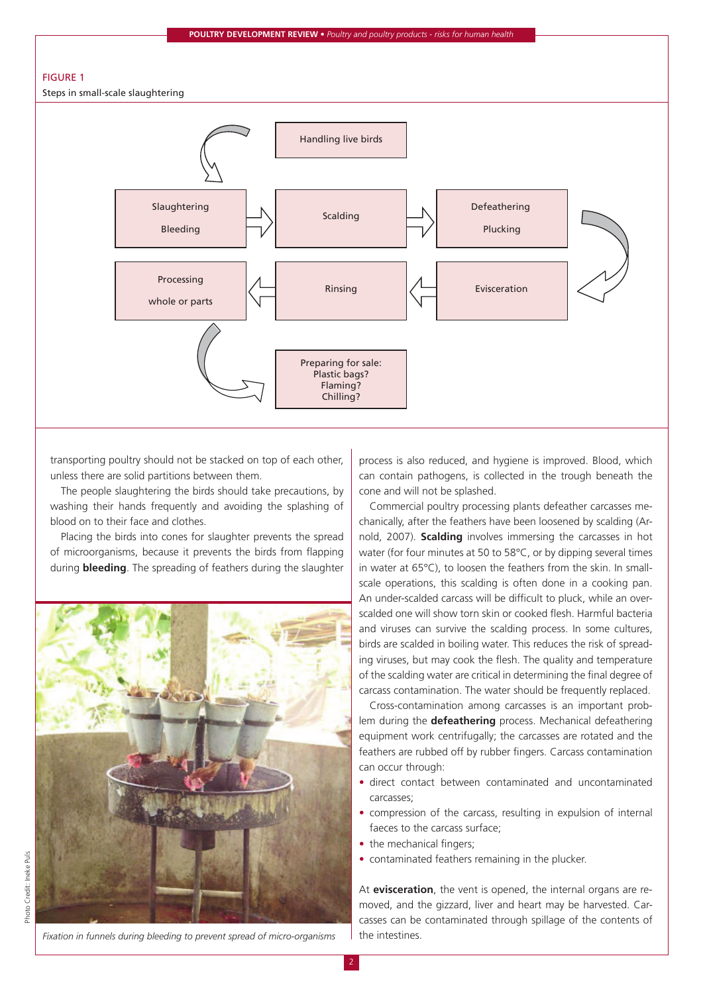#### **Poultry Development Review •** *Poultry and poultry products - risks for human health*



transporting poultry should not be stacked on top of each other, unless there are solid partitions between them.

The people slaughtering the birds should take precautions, by washing their hands frequently and avoiding the splashing of blood on to their face and clothes.

Placing the birds into cones for slaughter prevents the spread of microorganisms, because it prevents the birds from flapping during **bleeding**. The spreading of feathers during the slaughter



*Fixation in funnels during bleeding to prevent spread of micro-organisms*

process is also reduced, and hygiene is improved. Blood, which can contain pathogens, is collected in the trough beneath the cone and will not be splashed.

Commercial poultry processing plants defeather carcasses mechanically, after the feathers have been loosened by scalding (Arnold, 2007). **Scalding** involves immersing the carcasses in hot water (for four minutes at 50 to 58°C, or by dipping several times in water at 65°C), to loosen the feathers from the skin. In smallscale operations, this scalding is often done in a cooking pan. An under-scalded carcass will be difficult to pluck, while an overscalded one will show torn skin or cooked flesh. Harmful bacteria and viruses can survive the scalding process. In some cultures, birds are scalded in boiling water. This reduces the risk of spreading viruses, but may cook the flesh. The quality and temperature of the scalding water are critical in determining the final degree of carcass contamination. The water should be frequently replaced.

Cross-contamination among carcasses is an important problem during the **defeathering** process. Mechanical defeathering equipment work centrifugally; the carcasses are rotated and the feathers are rubbed off by rubber fingers. Carcass contamination can occur through:

- direct contact between contaminated and uncontaminated carcasses;
- compression of the carcass, resulting in expulsion of internal faeces to the carcass surface;
- the mechanical fingers;
- contaminated feathers remaining in the plucker.

At **evisceration**, the vent is opened, the internal organs are removed, and the gizzard, liver and heart may be harvested. Carcasses can be contaminated through spillage of the contents of the intestines.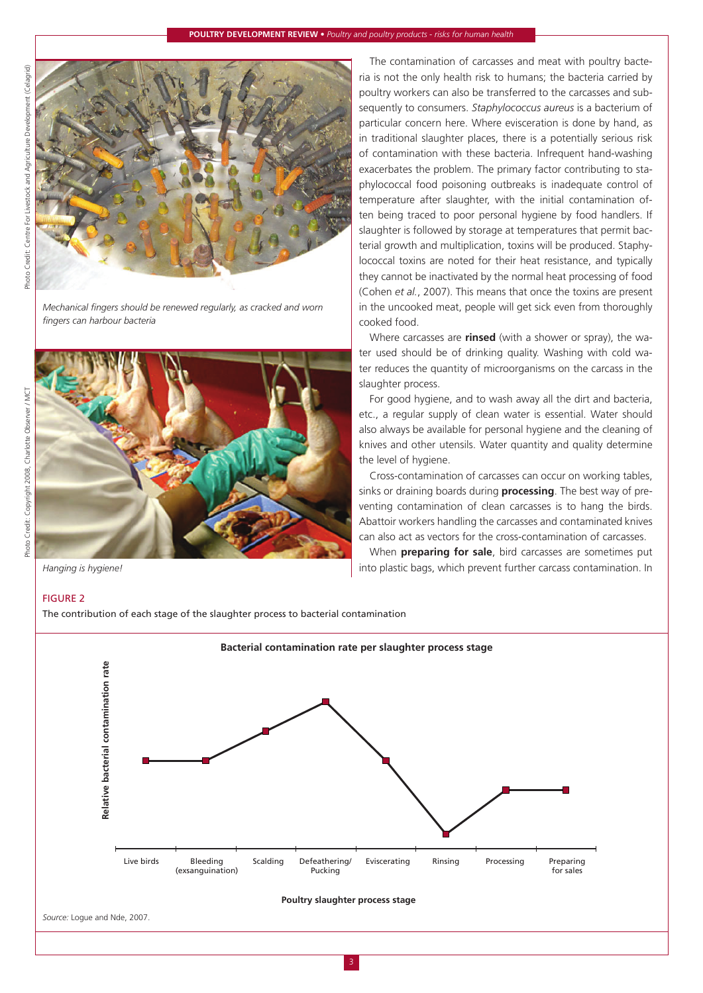

*Mechanical fingers should be renewed regularly, as cracked and worn fingers can harbour bacteria*



*Hanging is hygiene!*

The contamination of carcasses and meat with poultry bacteria is not the only health risk to humans; the bacteria carried by poultry workers can also be transferred to the carcasses and subsequently to consumers. *Staphylococcus aureus* is a bacterium of particular concern here. Where evisceration is done by hand, as in traditional slaughter places, there is a potentially serious risk of contamination with these bacteria. Infrequent hand-washing exacerbates the problem. The primary factor contributing to staphylococcal food poisoning outbreaks is inadequate control of temperature after slaughter, with the initial contamination often being traced to poor personal hygiene by food handlers. If slaughter is followed by storage at temperatures that permit bacterial growth and multiplication, toxins will be produced. Staphylococcal toxins are noted for their heat resistance, and typically they cannot be inactivated by the normal heat processing of food (Cohen *et al.*, 2007). This means that once the toxins are present in the uncooked meat, people will get sick even from thoroughly cooked food.

Where carcasses are **rinsed** (with a shower or spray), the water used should be of drinking quality. Washing with cold water reduces the quantity of microorganisms on the carcass in the slaughter process.

For good hygiene, and to wash away all the dirt and bacteria, etc., a regular supply of clean water is essential. Water should also always be available for personal hygiene and the cleaning of knives and other utensils. Water quantity and quality determine the level of hygiene.

Cross-contamination of carcasses can occur on working tables, sinks or draining boards during **processing**. The best way of preventing contamination of clean carcasses is to hang the birds. Abattoir workers handling the carcasses and contaminated knives can also act as vectors for the cross-contamination of carcasses.

When **preparing for sale**, bird carcasses are sometimes put into plastic bags, which prevent further carcass contamination. In

## Figure 2

The contribution of each stage of the slaughter process to bacterial contamination



*Source:* Logue and Nde, 2007.

Photo Credit: Copyright 2008, Charlotte Observer / MCT

Photo Credit: Copyright 2008, Charlotte Observer / MCT